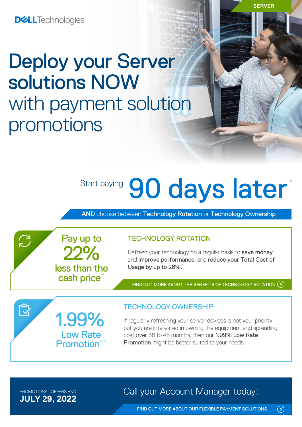# Deploy your Server solutions NOW with payment solution promotions

# Start paying 90 days later\*

AND choose between Technology Rotation or Technology Ownership



Refresh your technology on a regular basis to save money and improve performance, and reduce your Total Cost of Usage by up to 26%.<sup>1</sup>

FIND OUT MORE ABOUT THE [BENEFITS OF TECHNOLOGY ROTATION](https://www.delltechnologies.com/en-ie/payment-solutions/leasing.htm#tab0=0) (>)

1.99% Low Rate **Promotion**\*

22%

Pay up to

less than the cash price\*

### TECHNOLOGY OWNERSHIP

If regularly refreshing your server devices is not your priority, but you are interested in owning the equipment and spreading cost over 36 to 48 months, then our 1.99% Low Rate Promotion might be better suited to your needs.

**JULY 29, 2022**

 $\sum$ 

 $\mathbb{C}^1$ 

PROMOTIONAL OFFERS END **Call your Account Manager today!** 

 $\odot$